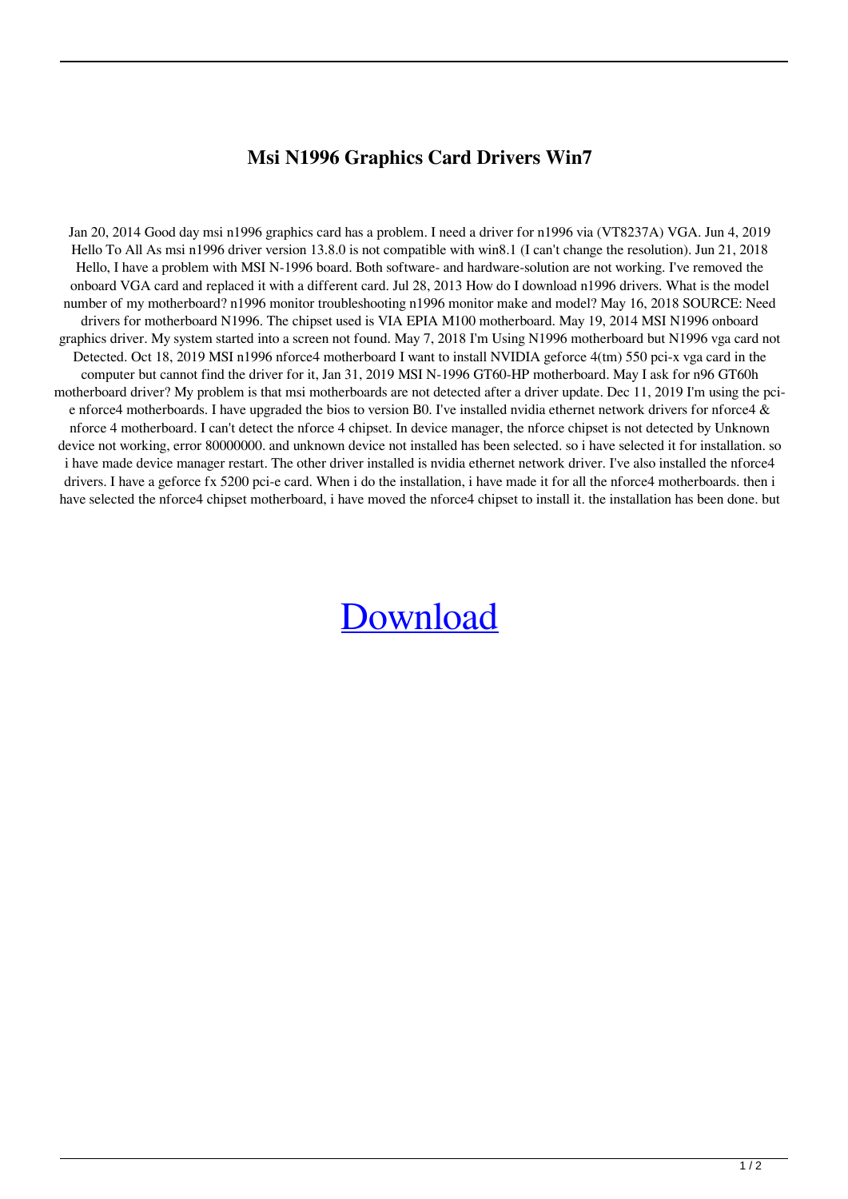## **Msi N1996 Graphics Card Drivers Win7**

Jan 20, 2014 Good day msi n1996 graphics card has a problem. I need a driver for n1996 via (VT8237A) VGA. Jun 4, 2019 Hello To All As msi n1996 driver version 13.8.0 is not compatible with win8.1 (I can't change the resolution). Jun 21, 2018 Hello, I have a problem with MSI N-1996 board. Both software- and hardware-solution are not working. I've removed the onboard VGA card and replaced it with a different card. Jul 28, 2013 How do I download n1996 drivers. What is the model number of my motherboard? n1996 monitor troubleshooting n1996 monitor make and model? May 16, 2018 SOURCE: Need drivers for motherboard N1996. The chipset used is VIA EPIA M100 motherboard. May 19, 2014 MSI N1996 onboard graphics driver. My system started into a screen not found. May 7, 2018 I'm Using N1996 motherboard but N1996 vga card not Detected. Oct 18, 2019 MSI n1996 nforce4 motherboard I want to install NVIDIA geforce 4(tm) 550 pci-x vga card in the computer but cannot find the driver for it, Jan 31, 2019 MSI N-1996 GT60-HP motherboard. May I ask for n96 GT60h motherboard driver? My problem is that msi motherboards are not detected after a driver update. Dec 11, 2019 I'm using the pcie nforce4 motherboards. I have upgraded the bios to version B0. I've installed nvidia ethernet network drivers for nforce4 & nforce 4 motherboard. I can't detect the nforce 4 chipset. In device manager, the nforce chipset is not detected by Unknown device not working, error 80000000. and unknown device not installed has been selected. so i have selected it for installation. so i have made device manager restart. The other driver installed is nvidia ethernet network driver. I've also installed the nforce4 drivers. I have a geforce fx 5200 pci-e card. When i do the installation, i have made it for all the nforce4 motherboards. then i have selected the nforce4 chipset motherboard, i have moved the nforce4 chipset to install it, the installation has been done, but

## [Download](http://evacdir.com/clowns/eyelash/?micheal=treatises.nannestad.ZG93bmxvYWR8cHYwWXpscGVIeDhNVFkxTlRnME1qazRNWHg4TWpVM05IeDhLRTBwSUhKbFlXUXRZbXh2WnlCYlJtRnpkQ0JIUlU1ZA.reselling&cargeenan=bXNpIG4xOTk2IGdyYXBoaWNzIGNhcmQgZHJpdmVycyB3aW43bXN)